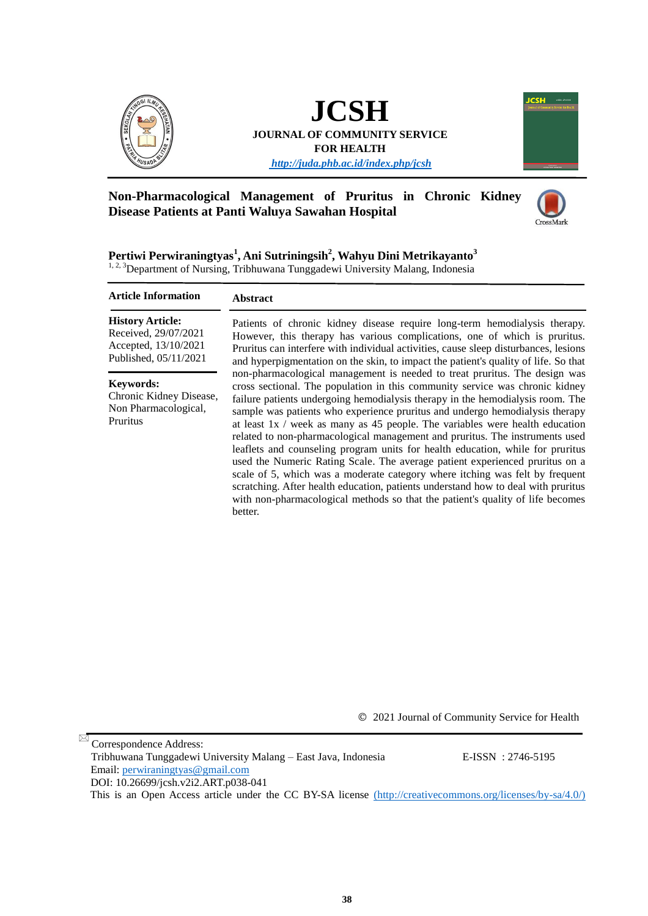

# **JCSH**

**JOURNAL OF COMMUNITY SERVICE FOR HEALTH**

*<http://juda.phb.ac.id/index.php/jcsh>*



## **Non-Pharmacological Management of Pruritus in Chronic Kidney Disease Patients at Panti Waluya Sawahan Hospital**



**Pertiwi Perwiraningtyas<sup>1</sup> , Ani Sutriningsih<sup>2</sup> , Wahyu Dini Metrikayanto<sup>3</sup>** <sup>1, 2, 3</sup>Department of Nursing, Tribhuwana Tunggadewi University Malang, Indonesia

#### **Abstract** Patients of chronic kidney disease require long-term hemodialysis therapy. However, this therapy has various complications, one of which is pruritus. Pruritus can interfere with individual activities, cause sleep disturbances, lesions and hyperpigmentation on the skin, to impact the patient's quality of life. So that non-pharmacological management is needed to treat pruritus. The design was cross sectional. The population in this community service was chronic kidney failure patients undergoing hemodialysis therapy in the hemodialysis room. The sample was patients who experience pruritus and undergo hemodialysis therapy at least 1x / week as many as 45 people. The variables were health education related to non-pharmacological management and pruritus. The instruments used leaflets and counseling program units for health education, while for pruritus used the Numeric Rating Scale. The average patient experienced pruritus on a scale of 5, which was a moderate category where itching was felt by frequent scratching. After health education, patients understand how to deal with pruritus with non-pharmacological methods so that the patient's quality of life becomes better. **Article Information History Article:** Received, 29/07/2021 Accepted, 13/10/2021 Published, 05/11/2021 **Keywords:** Chronic Kidney Disease, Non Pharmacological, Pruritus

© 2021 Journal of Community Service for Health

 Correspondence Address: Tribhuwana Tunggadewi University Malang – East Java, Indonesia E-ISSN : 2746-5195 Email: [perwiraningtyas@gmail.com](mailto:perwiraningtyas@gmail.com) DOI: [10.26699/jcsh.v2i2.ART.p038-041](https://doi.org/10.26699/jcsh.v2i2.ART.p038-041) This is an Open Access article under the CC BY-SA license [\(http://creativecommons.org/licenses/by-sa/4.0/\)]((http:/creativecommons.org/licenses/by-sa/4.0/))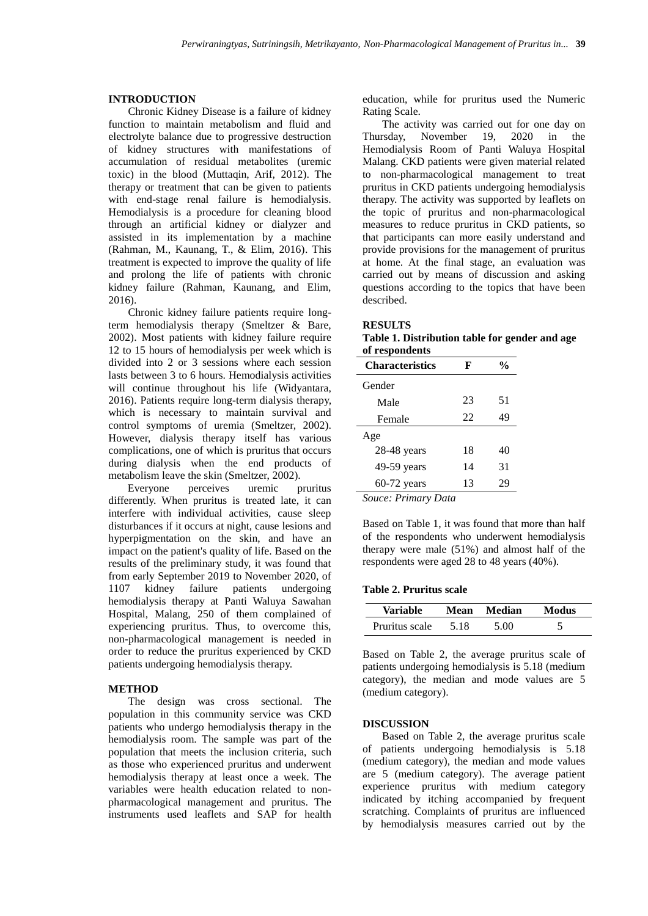### **INTRODUCTION**

Chronic Kidney Disease is a failure of kidney function to maintain metabolism and fluid and electrolyte balance due to progressive destruction of kidney structures with manifestations of accumulation of residual metabolites (uremic toxic) in the blood (Muttaqin, Arif, 2012). The therapy or treatment that can be given to patients with end-stage renal failure is hemodialysis. Hemodialysis is a procedure for cleaning blood through an artificial kidney or dialyzer and assisted in its implementation by a machine (Rahman, M., Kaunang, T., & Elim, 2016). This treatment is expected to improve the quality of life and prolong the life of patients with chronic kidney failure (Rahman, Kaunang, and Elim, 2016).

Chronic kidney failure patients require longterm hemodialysis therapy (Smeltzer & Bare, 2002). Most patients with kidney failure require 12 to 15 hours of hemodialysis per week which is divided into 2 or 3 sessions where each session lasts between 3 to 6 hours. Hemodialysis activities will continue throughout his life (Widyantara, 2016). Patients require long-term dialysis therapy, which is necessary to maintain survival and control symptoms of uremia (Smeltzer, 2002). However, dialysis therapy itself has various complications, one of which is pruritus that occurs during dialysis when the end products of metabolism leave the skin (Smeltzer, 2002).

 Everyone perceives uremic pruritus differently. When pruritus is treated late, it can interfere with individual activities, cause sleep disturbances if it occurs at night, cause lesions and hyperpigmentation on the skin, and have an impact on the patient's quality of life. Based on the results of the preliminary study, it was found that from early September 2019 to November 2020, of 1107 kidney failure patients undergoing hemodialysis therapy at Panti Waluya Sawahan Hospital, Malang, 250 of them complained of experiencing pruritus. Thus, to overcome this, non-pharmacological management is needed in order to reduce the pruritus experienced by CKD patients undergoing hemodialysis therapy.

#### **METHOD**

The design was cross sectional. The population in this community service was CKD patients who undergo hemodialysis therapy in the hemodialysis room. The sample was part of the population that meets the inclusion criteria, such as those who experienced pruritus and underwent hemodialysis therapy at least once a week. The variables were health education related to nonpharmacological management and pruritus. The instruments used leaflets and SAP for health

education, while for pruritus used the Numeric Rating Scale.

The activity was carried out for one day on Thursday, November 19, 2020 in the Hemodialysis Room of Panti Waluya Hospital Malang. CKD patients were given material related to non-pharmacological management to treat pruritus in CKD patients undergoing hemodialysis therapy. The activity was supported by leaflets on the topic of pruritus and non-pharmacological measures to reduce pruritus in CKD patients, so that participants can more easily understand and provide provisions for the management of pruritus at home. At the final stage, an evaluation was carried out by means of discussion and asking questions according to the topics that have been described.

#### **RESULTS**

**Table 1. Distribution table for gender and age of respondents**

| <b>Characteristics</b> | F  | %  |
|------------------------|----|----|
| Gender                 |    |    |
| Male                   | 23 | 51 |
| Female                 | 22 | 49 |
| Age                    |    |    |
| $28-48$ years          | 18 | 40 |
| 49-59 years            | 14 | 31 |
| $60-72$ years          | 13 | 29 |
|                        |    |    |

*Souce: Primary Data*

Based on Table 1, it was found that more than half of the respondents who underwent hemodialysis therapy were male (51%) and almost half of the respondents were aged 28 to 48 years (40%).

#### **Table 2. Pruritus scale**

| <b>Variable</b> | Mean | Median | Modus |
|-----------------|------|--------|-------|
| Pruritus scale  | 5.18 | 5.00   |       |

Based on Table 2, the average pruritus scale of patients undergoing hemodialysis is 5.18 (medium category), the median and mode values are 5 (medium category).

#### **DISCUSSION**

Based on Table 2, the average pruritus scale of patients undergoing hemodialysis is 5.18 (medium category), the median and mode values are 5 (medium category). The average patient experience pruritus with medium category indicated by itching accompanied by frequent scratching. Complaints of pruritus are influenced by hemodialysis measures carried out by the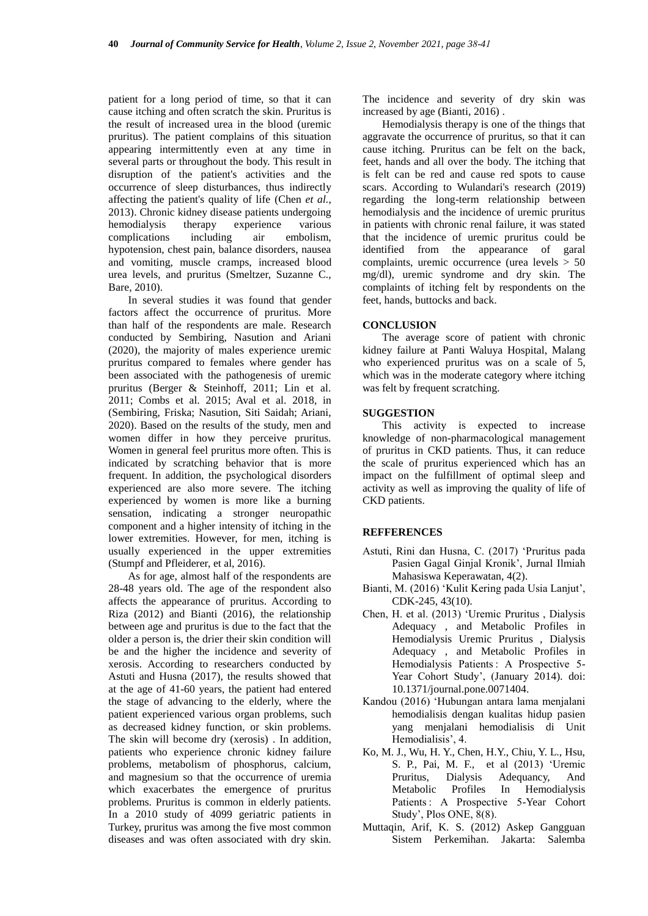patient for a long period of time, so that it can cause itching and often scratch the skin. Pruritus is the result of increased urea in the blood (uremic pruritus). The patient complains of this situation appearing intermittently even at any time in several parts or throughout the body. This result in disruption of the patient's activities and the occurrence of sleep disturbances, thus indirectly affecting the patient's quality of life (Chen *et al.*, 2013). Chronic kidney disease patients undergoing hemodialysis therapy experience various complications including air embolism, hypotension, chest pain, balance disorders, nausea and vomiting, muscle cramps, increased blood urea levels, and pruritus (Smeltzer, Suzanne C., Bare, 2010).

In several studies it was found that gender factors affect the occurrence of pruritus. More than half of the respondents are male. Research conducted by Sembiring, Nasution and Ariani (2020), the majority of males experience uremic pruritus compared to females where gender has been associated with the pathogenesis of uremic pruritus (Berger & Steinhoff, 2011; Lin et al. 2011; Combs et al. 2015; Aval et al. 2018, in (Sembiring, Friska; Nasution, Siti Saidah; Ariani, 2020). Based on the results of the study, men and women differ in how they perceive pruritus. Women in general feel pruritus more often. This is indicated by scratching behavior that is more frequent. In addition, the psychological disorders experienced are also more severe. The itching experienced by women is more like a burning sensation, indicating a stronger neuropathic component and a higher intensity of itching in the lower extremities. However, for men, itching is usually experienced in the upper extremities (Stumpf and Pfleiderer, et al, 2016).

As for age, almost half of the respondents are 28-48 years old. The age of the respondent also affects the appearance of pruritus. According to Riza (2012) and Bianti (2016), the relationship between age and pruritus is due to the fact that the older a person is, the drier their skin condition will be and the higher the incidence and severity of xerosis. According to researchers conducted by Astuti and Husna (2017), the results showed that at the age of 41-60 years, the patient had entered the stage of advancing to the elderly, where the patient experienced various organ problems, such as decreased kidney function, or skin problems. The skin will become dry (xerosis) . In addition, patients who experience chronic kidney failure problems, metabolism of phosphorus, calcium, and magnesium so that the occurrence of uremia which exacerbates the emergence of pruritus problems. Pruritus is common in elderly patients. In a 2010 study of 4099 geriatric patients in Turkey, pruritus was among the five most common diseases and was often associated with dry skin.

The incidence and severity of dry skin was increased by age (Bianti, 2016) .

Hemodialysis therapy is one of the things that aggravate the occurrence of pruritus, so that it can cause itching. Pruritus can be felt on the back, feet, hands and all over the body. The itching that is felt can be red and cause red spots to cause scars. According to Wulandari's research (2019) regarding the long-term relationship between hemodialysis and the incidence of uremic pruritus in patients with chronic renal failure, it was stated that the incidence of uremic pruritus could be identified from the appearance of garal complaints, uremic occurrence (urea levels > 50 mg/dl), uremic syndrome and dry skin. The complaints of itching felt by respondents on the feet, hands, buttocks and back.

#### **CONCLUSION**

The average score of patient with chronic kidney failure at Panti Waluya Hospital, Malang who experienced pruritus was on a scale of 5, which was in the moderate category where itching was felt by frequent scratching.

#### **SUGGESTION**

This activity is expected to increase knowledge of non-pharmacological management of pruritus in CKD patients. Thus, it can reduce the scale of pruritus experienced which has an impact on the fulfillment of optimal sleep and activity as well as improving the quality of life of CKD patients.

#### **REFFERENCES**

- Astuti, Rini dan Husna, C. (2017) 'Pruritus pada Pasien Gagal Ginjal Kronik', Jurnal Ilmiah Mahasiswa Keperawatan, 4(2).
- Bianti, M. (2016) 'Kulit Kering pada Usia Lanjut', CDK-245, 43(10).
- Chen, H. et al. (2013) 'Uremic Pruritus , Dialysis Adequacy , and Metabolic Profiles in Hemodialysis Uremic Pruritus , Dialysis Adequacy , and Metabolic Profiles in Hemodialysis Patients : A Prospective 5- Year Cohort Study', (January 2014). doi: 10.1371/journal.pone.0071404.
- Kandou (2016) 'Hubungan antara lama menjalani hemodialisis dengan kualitas hidup pasien yang menjalani hemodialisis di Unit Hemodialisis', 4.
- Ko, M. J., Wu, H. Y., Chen, H.Y., Chiu, Y. L., Hsu, S. P., Pai, M. F., et al (2013) 'Uremic Pruritus, Dialysis Adequancy, And Metabolic Profiles In Hemodialysis Patients : A Prospective 5-Year Cohort Study', Plos ONE, 8(8).
- Muttaqin, Arif, K. S. (2012) Askep Gangguan Sistem Perkemihan. Jakarta: Salemba